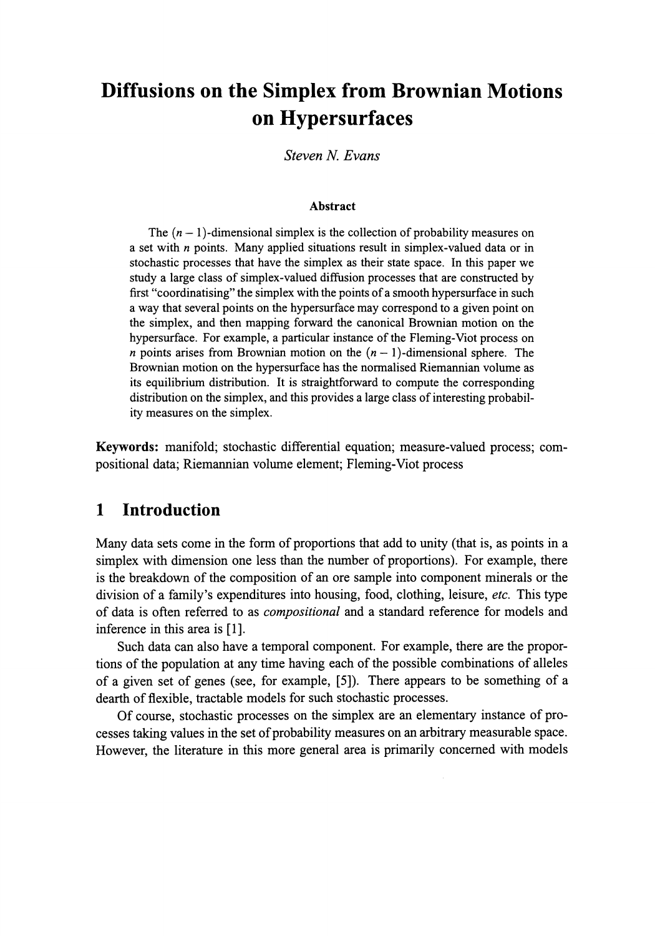# **Diffusions on the Simplex from Brownian Motions on Hypersurfaces**

*Steven N. Evans*

#### **Abstract**

The  $(n - 1)$ -dimensional simplex is the collection of probability measures on a set with *n* points. Many applied situations result in simplex-valued data or in stochastic processes that have the simplex as their state space. In this paper we study a large class of simplex-valued diffusion processes that are constructed by first "coordinatising" the simplex with the points of a smooth hypersurface in such a way that several points on the hypersurface may correspond to a given point on the simplex, and then mapping forward the canonical Brownian motion on the hypersurface. For example, a particular instance of the Fleming-Viot process on *n* points arises from Brownian motion on the  $(n - 1)$ -dimensional sphere. The Brownian motion on the hypersurface has the normalised Riemannian volume as its equilibrium distribution. It is straightforward to compute the corresponding distribution on the simplex, and this provides a large class of interesting probability measures on the simplex.

**Keywords:** manifold; stochastic differential equation; measure-valued process; compositional data; Riemannian volume element; Fleming-Viot process

#### **1 Introduction**

Many data sets come in the form of proportions that add to unity (that is, as points in a simplex with dimension one less than the number of proportions). For example, there is the breakdown of the composition of an ore sample into component minerals or the division of a family's expenditures into housing, food, clothing, leisure, *etc.* This type of data is often referred to as *compositional* and a standard reference for models and inference in this area is [1].

Such data can also have a temporal component. For example, there are the proportions of the population at any time having each of the possible combinations of alleles of a given set of genes (see, for example, [5]). There appears to be something of a dearth of flexible, tractable models for such stochastic processes.

Of course, stochastic processes on the simplex are an elementary instance of processes taking values in the set of probability measures on an arbitrary measurable space. However, the literature in this more general area is primarily concerned with models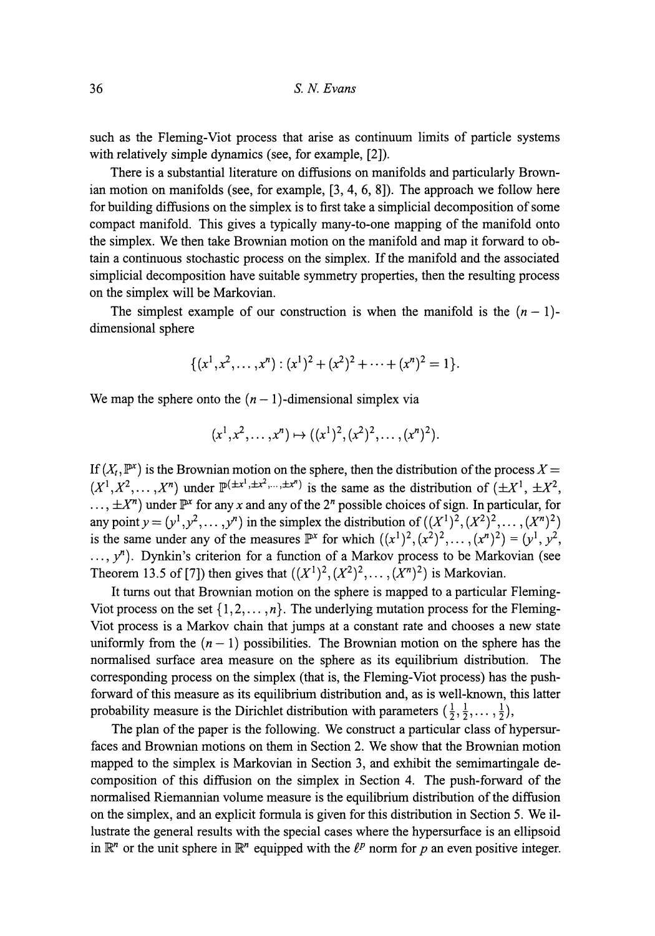such as the Fleming-Viot process that arise as continuum limits of particle systems with relatively simple dynamics (see, for example, [2]).

There is a substantial literature on diffusions on manifolds and particularly Brown ian motion on manifolds (see, for example, [3, 4, 6, 8]). The approach we follow here for building diffusions on the simplex is to first take a simplicial decomposition of some compact manifold. This gives a typically many-to-one mapping of the manifold onto the simplex. We then take Brownian motion on the manifold and map it forward to ob tain a continuous stochastic process on the simplex. If the manifold and the associated simplicial decomposition have suitable symmetry properties, then the resulting process on the simplex will be Markovian.

The simplest example of our construction is when the manifold is the  $(n - 1)$ dimensional sphere

$$
\{(x^1,x^2,\ldots,x^n):(x^1)^2+(x^2)^2+\cdots+(x^n)^2=1\}.
$$

We map the sphere onto the  $(n - 1)$ -dimensional simplex via

$$
(x1, x2,..., xn) \mapsto ((x1)2, (x2)2,..., (xn)2).
$$

If  $(X_t, \mathbb{P}^x)$  is the Brownian motion on the sphere, then the distribution of the process  $X =$  $(X^1, X^2, \ldots, X^n)$  under  $\mathbb{P}^{(\pm x^1, \pm x^2, \ldots, \pm x^n)}$  is the same as the distribution of  $(\pm X^1, \pm X^2, \ldots, X^n)$  $\ldots$ ,  $\pm X^n$ ) under  $\mathbb{P}^x$  for any x and any of the 2<sup>*n*</sup> possible choices of sign. In particular, for any point  $y = (y^1, y^2, \dots, y^n)$  in the simplex the distribution of  $((X^1)^2, (X^2)^2, \dots, (X^n)^2)$ is the same under any of the measures  $\mathbb{P}^{x}$  for which  $((x^{1})^{2}, (x^{2})^{2}, \ldots, (x^{n})^{2}) = (y^{1}, y^{2}, \ldots, (y^{n}))$  $\ldots$ ,  $y<sup>n</sup>$ ). Dynkin's criterion for a function of a Markov process to be Markovian (see Theorem 13.5 of [7]) then gives that  $((X^{1})^{2}, (X^{2})^{2}, \ldots, (X^{n})^{2})$  is Markovian.

It turns out that Brownian motion on the sphere is mapped to a particular Fleming Viot process on the set  $\{1,2,\ldots,n\}$ . The underlying mutation process for the Fleming-Viot process is a Markov chain that jumps at a constant rate and chooses a new state uniformly from the  $(n - 1)$  possibilities. The Brownian motion on the sphere has the normalised surface area measure on the sphere as its equilibrium distribution. The corresponding process on the simplex (that is, the Fleming-Viot process) has the push forward of this measure as its equilibrium distribution and, as is well-known, this latter probability measure is the Dirichlet distribution with parameters  $(\frac{1}{2}, \frac{1}{2}, \dots, \frac{1}{2})$ ,

The plan of the paper is the following. We construct a particular class of hypersur faces and Brownian motions on them in Section 2. We show that the Brownian motion mapped to the simplex is Markovian in Section 3, and exhibit the semimartingale de composition of this diffusion on the simplex in Section 4. The push-forward of the normalised Riemannian volume measure is the equilibrium distribution of the diffusion on the simplex, and an explicit formula is given for this distribution in Section 5. We il lustrate the general results with the special cases where the hypersurface is an ellipsoid in  $\mathbb{R}^n$  or the unit sphere in  $\mathbb{R}^n$  equipped with the  $\ell^p$  norm for p an even positive integer.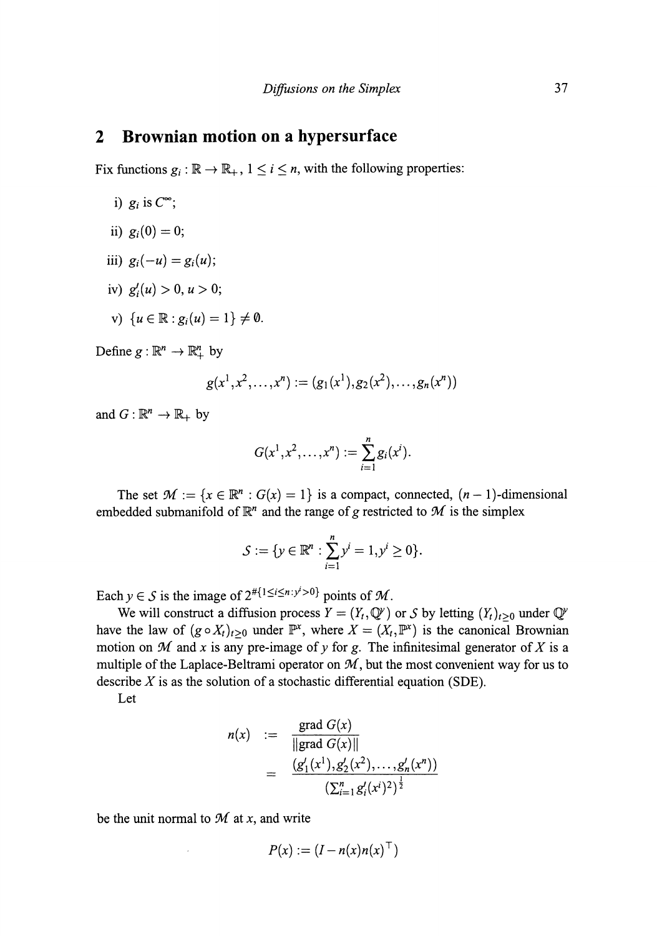#### **2 Brownian motion on a hypersurface**

Fix functions  $g_i : \mathbb{R} \to \mathbb{R}_+$ ,  $1 \le i \le n$ , with the following properties:

- i)  $g_i$  is  $C^{\infty}$ ;
- ii)  $g_i(0)=0$ ;
- iii)  $g_i(-u) = g_i(u)$ ;
- iv)  $g'_{i}(u) > 0, u > 0;$
- v)  $\{u \in \mathbb{R} : g_i(u) = 1\} \neq \emptyset$ .

Define  $g : \mathbb{R}^n \to \mathbb{R}^n_+$  by

$$
g(x^1,x^2,\ldots,x^n):=(g_1(x^1),g_2(x^2),\ldots,g_n(x^n))
$$

and  $G: \mathbb{R}^n \to \mathbb{R}_+$  by

$$
G(x^1, x^2, \ldots, x^n) := \sum_{i=1}^n g_i(x^i).
$$

The set  $\mathcal{M} := \{x \in \mathbb{R}^n : G(x) = 1\}$  is a compact, connected,  $(n-1)$ -dimensional embedded submanifold of  $\mathbb{R}^n$  and the range of g restricted to M is the simplex

$$
S := \{ y \in \mathbb{R}^n : \sum_{i=1}^n y^i = 1, y^i \ge 0 \}.
$$

Each  $y \in S$  is the image of  $2^{n} \{1 \le i \le n : y' > 0\}$  points of M.

We will construct a diffusion process  $Y = (Y_t, \mathbb{Q}^{\nu})$  or S by letting  $(Y_t)_{t \geq 0}$  under  $\mathbb{Q}^{\nu}$ have the law of  $(g \circ X_t)_{t>0}$  under  $\mathbb{P}^x$ , where  $X = (X_t, \mathbb{P}^x)$  is the canonical Brownian motion on M and x is any pre-image of y for g. The infinitesimal generator of X is a multiple of the Laplace-Beltrami operator on  $M$ , but the most convenient way for us to describe *X* is as the solution of a stochastic differential equation (SDE).

Let

$$
n(x) := \frac{\text{grad } G(x)}{\|\text{grad } G(x)\|}
$$
  
= 
$$
\frac{(g'_1(x^1), g'_2(x^2), \ldots, g'_n(x^n))}{(\sum_{i=1}^n g'_i(x^i)^2)^{\frac{1}{2}}}
$$

be the unit normal to *M* at *x,* and write

 $\bar{z}$ 

$$
P(x) := (I - n(x)n(x)^{\top})
$$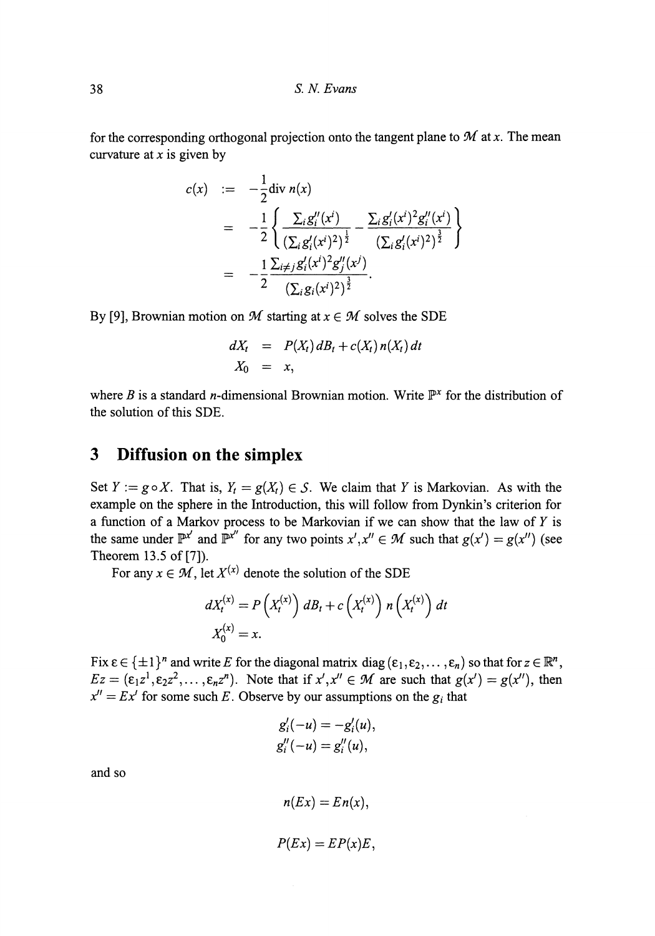for the corresponding orthogonal projection onto the tangent plane to  $M$  at  $x$ . The mean curvature at *x* is given by

$$
c(x) := -\frac{1}{2} \text{div } n(x)
$$
  
= 
$$
-\frac{1}{2} \left\{ \frac{\sum_{i} g_{i}''(x^{i})}{(\sum_{i} g_{i}'(x^{i})^{2})^{\frac{1}{2}}} - \frac{\sum_{i} g_{i}'(x^{i})^{2} g_{i}''(x^{i})}{(\sum_{i} g_{i}'(x^{i})^{2})^{\frac{3}{2}}} \right\}
$$
  
= 
$$
-\frac{1}{2} \frac{\sum_{i \neq j} g_{i}'(x^{i})^{2} g_{j}''(x^{j})}{(\sum_{i} g_{i}(x^{i})^{2})^{\frac{3}{2}}}.
$$

By [9], Brownian motion on *M* starting at  $x \in M$  solves the SDE

$$
dX_t = P(X_t) dB_t + c(X_t) n(X_t) dt
$$
  

$$
X_0 = x,
$$

where *B* is a standard *n*-dimensional Brownian motion. Write  $\mathbb{P}^x$  for the distribution of the solution of this SDE.

### **3 Diffusion on the simplex**

Set  $Y := g \circ X$ . That is,  $Y_t = g(X_t) \in S$ . We claim that Y is Markovian. As with the example on the sphere in the Introduction, this will follow from Dynkin's criterion for a function of a Markov process to be Markovian if we can show that the law of  $Y$  is the same under  $\mathbb{P}^{x'}$  and  $\mathbb{P}^{x''}$  for any two points  $x',x'' \in \mathcal{M}$  such that  $g(x') = g(x'')$  (see Theorem 13.5 of [7]).

For any  $x \in M$ , let  $X^{(x)}$  denote the solution of the SDE

$$
dX_t^{(x)} = P\left(X_t^{(x)}\right) dB_t + c\left(X_t^{(x)}\right) n\left(X_t^{(x)}\right) dt
$$
  

$$
X_0^{(x)} = x.
$$

Fix  $\varepsilon \in {\pm 1}^n$  and write *E* for the diagonal matrix diag  $(\varepsilon_1, \varepsilon_2, ..., \varepsilon_n)$  so that for  $z \in \mathbb{R}^n$ ,  $Ez = (\epsilon_1 z^1, \epsilon_2 z^2, \dots, \epsilon_n z^n)$ . Note that if  $x', x'' \in M$  are such that  $g(x') = g(x'')$ , then  $x'' = Ex'$  for some such *E*. Observe by our assumptions on the  $g_i$  that

$$
g_i'(-u) = -g_i'(u),
$$
  

$$
g_i''(-u) = g_i''(u),
$$

$$
n(EX) = En(x),
$$
  

$$
P(EX) = EP(x)E,
$$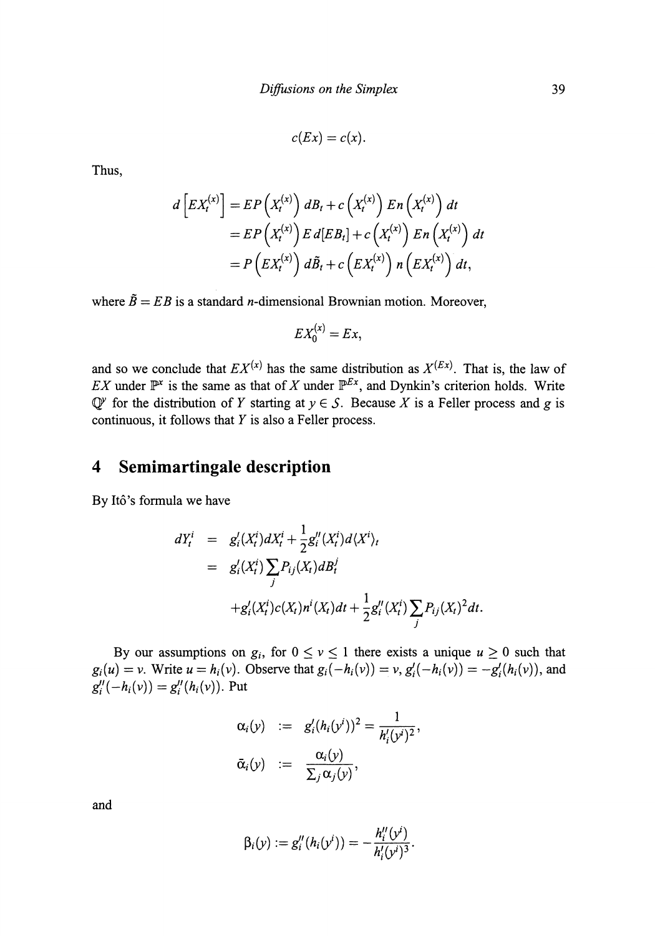$$
c(EX) = c(x).
$$

Thus,

$$
d\left[EX_t^{(x)}\right] = EP\left(X_t^{(x)}\right) dB_t + c\left(X_t^{(x)}\right) En\left(X_t^{(x)}\right) dt
$$
  
= 
$$
EP\left(X_t^{(x)}\right) E d[EB_t] + c\left(X_t^{(x)}\right) En\left(X_t^{(x)}\right) dt
$$
  
= 
$$
P\left(EX_t^{(x)}\right) d\tilde{B}_t + c\left(EX_t^{(x)}\right) n\left(EX_t^{(x)}\right) dt,
$$

where  $\tilde{B} = EB$  is a standard *n*-dimensional Brownian motion. Moreover,

$$
EX_0^{(x)} = Ex,
$$

and so we conclude that  $EX^{(x)}$  has the same distribution as  $X^{(Ex)}$ . That is, the law of *EX* under  $\mathbb{P}^x$  is the same as that of *X* under  $\mathbb{P}^{Ex}$ , and Dynkin's criterion holds. Write  $\mathbb{Q}^y$  for the distribution of *Y* starting at  $y \in S$ . Because *X* is a Feller process and *g* is continuous, it follows that *Y* is also a Feller process.

# **4 Semimartingale description**

By Itό's formula we have

$$
dY_t^i = g'_i(X_t^i) dX_t^i + \frac{1}{2} g''_i(X_t^i) d\langle X^i \rangle_t
$$
  
=  $g'_i(X_t^i) \sum_j P_{ij}(X_t) dB_t^j$   
+  $g'_i(X_t^i) c(X_t) n^i(X_t) dt + \frac{1}{2} g''_i(X_t^i) \sum_j P_{ij}(X_t)^2 dt$ .

By our assumptions on  $g_i$ , for  $0 \le v \le 1$  there exists a unique  $u \ge 0$  such that  $g_i(u) = v$ . Write  $u = h_i(v)$ . Observe that  $g_i(-h_i(v)) = v$ ,  $g'_i(-h_i(v)) = -g'_i(h_i(v))$ , and  $g''_i(-h_i(v)) = g''_i(h_i(v))$ . Put

$$
\alpha_i(y) := g'_i(h_i(y^i))^2 = \frac{1}{h'_i(y^i)^2},
$$
  

$$
\bar{\alpha}_i(y) := \frac{\alpha_i(y)}{\sum_j \alpha_j(y)},
$$

and

$$
\beta_i(y) := g''_i(h_i(y^i)) = -\frac{h''_i(y^i)}{h'_i(y^i)^3}.
$$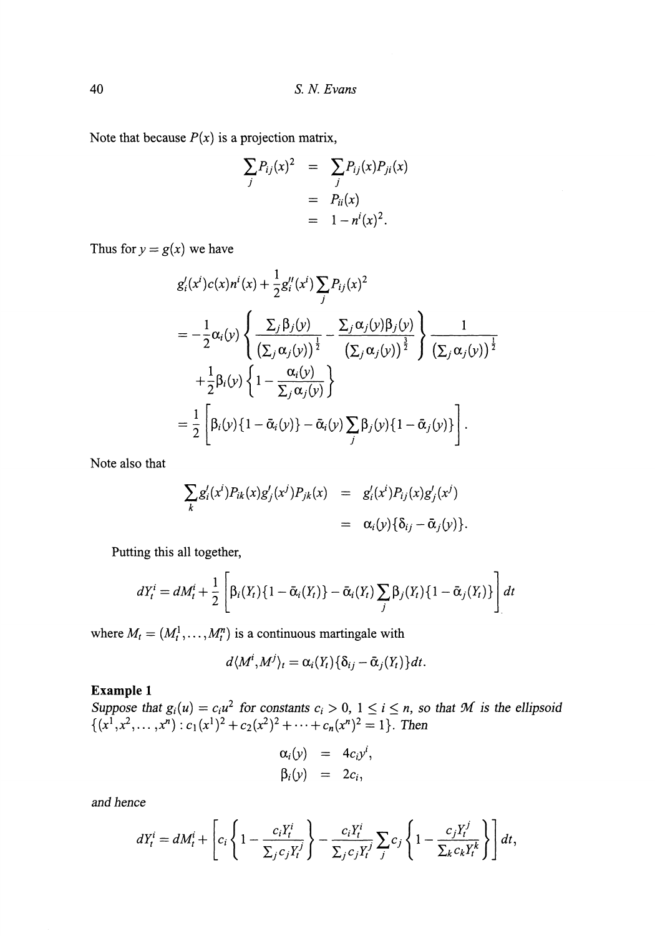Note that because  $P(x)$  is a projection matrix,

$$
\sum_{j} P_{ij}(x)^2 = \sum_{j} P_{ij}(x) P_{ji}(x)
$$

$$
= P_{ii}(x)
$$

$$
= 1 - n^i(x)^2.
$$

Thus for  $y = g(x)$  we have

$$
g'_i(x^i)c(x)n^i(x) + \frac{1}{2}g''_i(x^i)\sum_j P_{ij}(x)^2
$$
  
=  $-\frac{1}{2}\alpha_i(y)\left\{\frac{\sum_j \beta_j(y)}{(\sum_j \alpha_j(y))^{\frac{1}{2}}} - \frac{\sum_j \alpha_j(y)\beta_j(y)}{(\sum_j \alpha_j(y))^{\frac{1}{2}}}\right\}\frac{1}{(\sum_j \alpha_j(y))^{\frac{1}{2}}}$   
+  $\frac{1}{2}\beta_i(y)\left\{1 - \frac{\alpha_i(y)}{\sum_j \alpha_j(y)}\right\}$   
=  $\frac{1}{2}\left[\beta_i(y)\left\{1 - \bar{\alpha}_i(y)\right\} - \bar{\alpha}_i(y)\sum_j \beta_j(y)\left\{1 - \bar{\alpha}_j(y)\right\}\right].$ 

Note also that

$$
\sum_{k} g'_{i}(x^{i}) P_{ik}(x) g'_{j}(x^{j}) P_{jk}(x) = g'_{i}(x^{i}) P_{ij}(x) g'_{j}(x^{j})
$$
  
=  $\alpha_{i}(y) \{ \delta_{ij} - \bar{\alpha}_{j}(y) \}.$ 

Putting this all together,

$$
dY_t^i = dM_t^i + \frac{1}{2} \left[ \beta_i(Y_t) \{ 1 - \bar{\alpha}_i(Y_t) \} - \bar{\alpha}_i(Y_t) \sum_j \beta_j(Y_t) \{ 1 - \bar{\alpha}_j(Y_t) \} \right] dt
$$

where  $M_t = (M_t^1, \ldots, M_t^n)$  is a continuous martingale with

$$
d\langle M^i, M^j\rangle_t = \alpha_i(Y_t)\{\delta_{ij}-\bar{\alpha}_j(Y_t)\}dt.
$$

#### **Example 1**

*Suppose that*  $g_i(u) = c_i u^2$  for constants  $c_i > 0$ ,  $1 \le i \le n$ , so that M is the ellipsoid

$$
\alpha_i(y) = 4c_i y^i, \n\beta_i(y) = 2c_i,
$$

*and hence*

$$
dY_t^i = dM_t^i + \left[c_i\left\{1 - \frac{c_iY_t^i}{\sum_j c_jY_t^j}\right\} - \frac{c_iY_t^i}{\sum_j c_jY_t^j}\sum_j c_j\left\{1 - \frac{c_jY_t^j}{\sum_k c_kY_t^k}\right\}\right]dt,
$$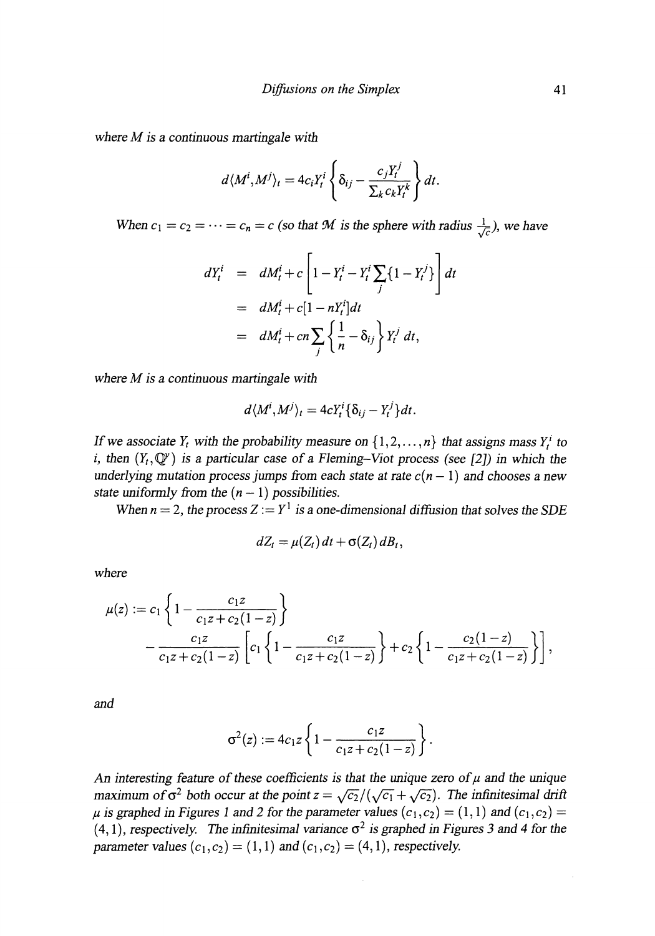*where M is a continuous martingale with*

$$
d\langle M^i, M^j \rangle_t = 4c_i Y_t^i \left\{ \delta_{ij} - \frac{c_j Y_t^j}{\sum_k c_k Y_t^k} \right\} dt.
$$

*When*  $c_1 = c_2 = \cdots = c_n = c$  (so that *M* is the sphere with radius  $\frac{1}{\sqrt{c}}$ ), we have

$$
dY_t^i = dM_t^i + c \left[ 1 - Y_t^i - Y_t^i \sum_j \{1 - Y_t^j\} \right] dt
$$
  
= 
$$
dM_t^i + c[1 - nY_t^i] dt
$$
  
= 
$$
dM_t^i + cn \sum_j \left\{ \frac{1}{n} - \delta_{ij} \right\} Y_t^j dt,
$$

*where M is a continuous martingale with*

$$
d\langle M^i, M^j \rangle_t = 4cY_t^i \{\delta_{ij} - Y_t^j\} dt.
$$

*If* we associate  $Y_t$  with the probability measure on  $\{1, 2, ..., n\}$  that assigns mass  $Y_t^i$  to *i*, then  $(Y_t, \mathbb{Q}^y)$  is a particular case of a Fleming-Viot process (see [2]) in which the *underlying mutation process jumps from each state at rate*  $c(n - 1)$  *and chooses a new state uniformly from the*  $(n - 1)$  *possibilities.* 

*When n* = 2, the process  $Z := Y^1$  is a one-dimensional diffusion that solves the SDE

$$
dZ_t = \mu(Z_t) dt + \sigma(Z_t) dB_t,
$$

*where*

$$
\mu(z) := c_1 \left\{ 1 - \frac{c_1 z}{c_1 z + c_2 (1 - z)} \right\}
$$
  
 
$$
- \frac{c_1 z}{c_1 z + c_2 (1 - z)} \left[ c_1 \left\{ 1 - \frac{c_1 z}{c_1 z + c_2 (1 - z)} \right\} + c_2 \left\{ 1 - \frac{c_2 (1 - z)}{c_1 z + c_2 (1 - z)} \right\} \right],
$$

*and*

$$
\sigma^{2}(z) := 4c_{1}z\left\{1 - \frac{c_{1}z}{c_{1}z + c_{2}(1-z)}\right\}.
$$

An interesting feature of these coefficients is that the unique zero of  $\mu$  and the unique *maximum of*  $\sigma^2$  both occur at the point  $z = \sqrt{c_2}/(\sqrt{c_1} + \sqrt{c_2})$ . The infinitesimal drift  $\mu$  is graphed in Figures 1 and 2 for the parameter values  $(c_1,c_2) = (1,1)$  and  $(c_1,c_2) =$  $(4, 1)$ , respectively. The infinitesimal variance  $\sigma^2$  is graphed in Figures 3 and 4 for the *parameter values*  $(c_1, c_2) = (1, 1)$  *and*  $(c_1, c_2) = (4, 1)$ *, respectively.*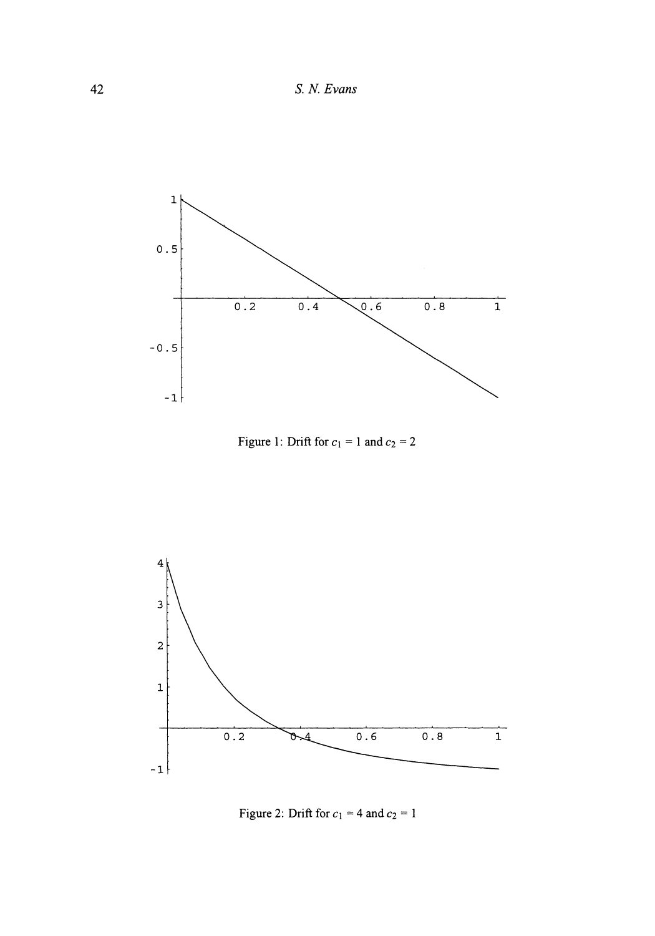**42** *S. N. Evans*



Figure 1: Drift for  $c_1 = 1$  and  $c_2 = 2$ 



Figure 2: Drift for  $c_1 = 4$  and  $c_2 = 1$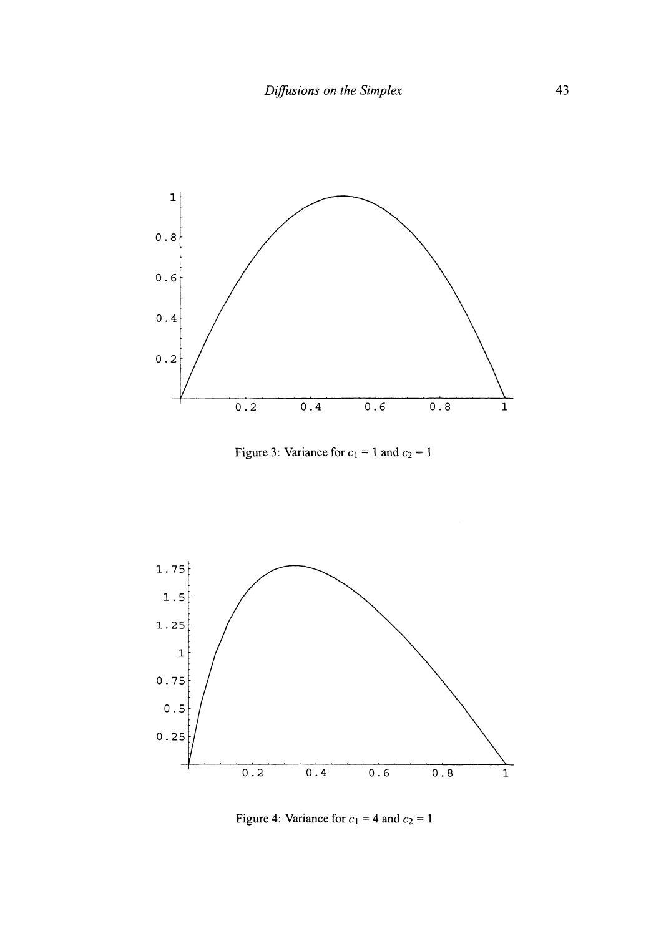

Figure 3: Variance for  $c_1 = 1$  and  $c_2 = 1$ 



Figure 4: Variance for  $c_1 = 4$  and  $c_2 = 1$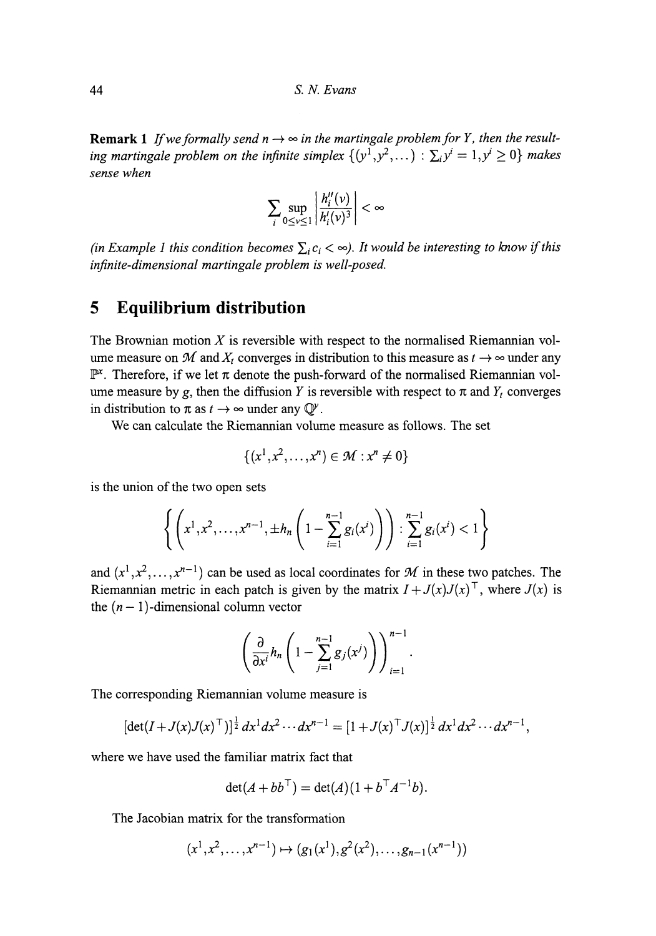**Remark 1** If we formally send  $n \to \infty$  in the martingale problem for Y, then the result*ing martingale problem on the infinite simplex*  $\{(y^1, y^2, ...) : \sum_i y^i = 1, y^i \ge 0\}$  makes *sense when*

$$
\sum_{i}\sup_{0\leq v\leq 1}\left|\frac{h''_i(v)}{h'_i(v)^3}\right|<\infty
$$

*(in Example 1 this condition becomes*  $\sum_i c_i < \infty$ ). It would be interesting to know if this *infinite-dimensional martingale problem is well-posed.*

## **5 Equilibrium distribution**

The Brownian motion *X* is reversible with respect to the normalised Riemannian vol ume measure on  $\mathcal M$  and  $X_t$  converges in distribution to this measure as  $t \to \infty$  under any  $\mathbb{P}^x$ . Therefore, if we let  $\pi$  denote the push-forward of the normalised Riemannian volume measure by *g,* then the diffusion *Y* is reversible with respect to π and *Y<sup>t</sup>* converges in distribution to  $\pi$  as  $t \to \infty$  under any  $\mathbb{Q}^{\gamma}$ .

We can calculate the Riemannian volume measure as follows. The set

$$
\{(x^1, x^2, \dots, x^n) \in \mathcal{M} : x^n \neq 0\}
$$

is the union of the two open sets

$$
\left\{ \left( x^{1}, x^{2}, \ldots, x^{n-1}, \pm h_{n} \left( 1 - \sum_{i=1}^{n-1} g_{i}(x^{i}) \right) \right) : \sum_{i=1}^{n-1} g_{i}(x^{i}) < 1 \right\}
$$

and  $(x^1, x^2, \ldots, x^{n-1})$  can be used as local coordinates for M in these two patches. The Riemannian metric in each patch is given by the matrix  $I + J(x)J(x)^\top$ , where  $J(x)$  is the  $(n - 1)$ -dimensional column vector

$$
\left(\frac{\partial}{\partial x^i}h_n\left(1-\sum_{j=1}^{n-1}g_j(x^j)\right)\right)_{i=1}^{n-1}.
$$

The corresponding Riemannian volume measure is

$$
[\det(I+J(x)J(x)^{\top})]^{\frac{1}{2}} dx^{1} dx^{2} \cdots dx^{n-1} = [1+J(x)^{\top}J(x)]^{\frac{1}{2}} dx^{1} dx^{2} \cdots dx^{n-1},
$$

where we have used the familiar matrix fact that

$$
\det(A + bb^{\top}) = \det(A)(1 + b^{\top}A^{-1}b).
$$

The Jacobian matrix for the transformation

$$
(x^1, x^2, \ldots, x^{n-1}) \mapsto (g_1(x^1), g^2(x^2), \ldots, g_{n-1}(x^{n-1}))
$$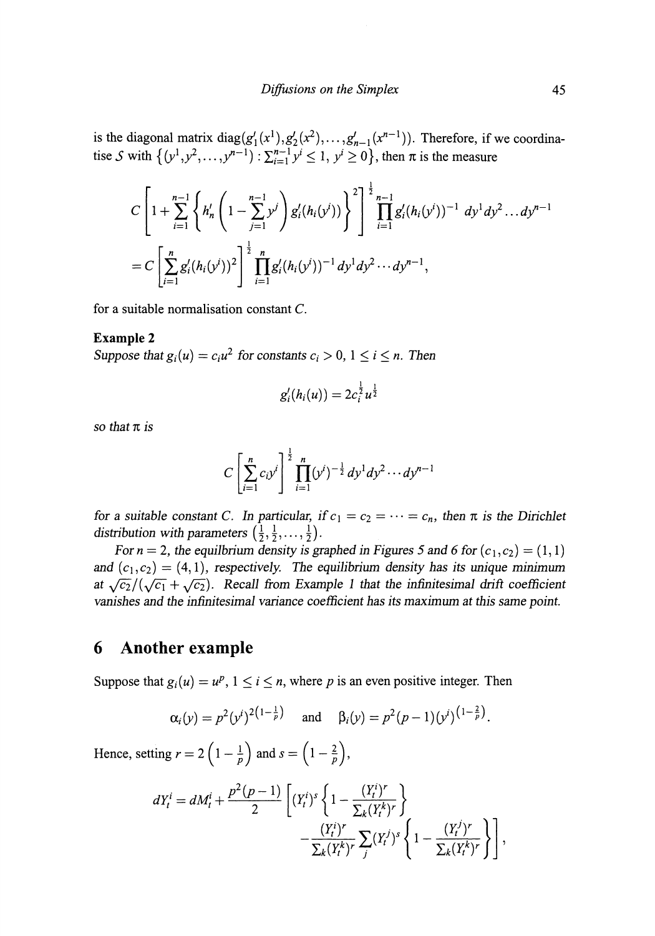is the diagonal matrix diag $(g_1)(x)$ tise S with  $\{(y^1, y^2, \ldots, y^{n-1})\}$ :  $,..., g'_{n-1}(x^{n-1})$ ). Therefore, if we coordina  $\leq 1, y' \geq 0$ , then  $\pi$  is the measure

$$
C\left[1+\sum_{i=1}^{n-1}\left\{h_n'\left(1-\sum_{j=1}^{n-1}y^j\right)g_i'(h_i(y^i))\right\}\right]^{\frac{1}{2}}\prod_{i=1}^{n-1}g_i'(h_i(y^i))^{-1}dy^1dy^2...dy^{n-1}
$$
  
= 
$$
C\left[\sum_{i=1}^n g_i'(h_i(y^i))^2\right]^{\frac{1}{2}}\prod_{i=1}^n g_i'(h_i(y^i))^{-1}dy^1dy^2...dy^{n-1},
$$

for a suitable normalisation constant C.

#### **Example 2**

*Suppose that*  $g_i(u) = c_i u^2$  for constants  $c_i > 0$ ,  $1 \le i \le n$ . Then

$$
g_i'(h_i(u)) = 2c_i^{\frac{1}{2}}u^{\frac{1}{2}}
$$

*so that π is*

$$
C\left[\sum_{i=1}^n c_i y^i\right]^{\frac{1}{2}} \prod_{i=1}^n (y^i)^{-\frac{1}{2}} dy^1 dy^2 \cdots dy^{n-1}
$$

for a suitable constant C. In particular, if  $c_1 = c_2 = \cdots = c_n$ , then  $\pi$  is the Dirichlet *distribution with parameters*  $(\frac{1}{2}, \frac{1}{2}, \dots, \frac{1}{2})$ .

For  $n = 2$ , the equilbrium density is graphed in Figures 5 and 6 for  $(c_1, c_2) = (1, 1)$ and  $(c_1,c_2) = (4,1)$ , respectively. The equilibrium density has its unique minimum *at*  $\sqrt{c_2}/(\sqrt{c_1} + \sqrt{c_2})$ . Recall from Example 1 that the infinitesimal drift coefficient *vanishes and the infinitesimal variance coefficient has its maximum at this same point.*

#### **6 Another example**

Suppose that  $g_i(u) = u^p$ ,  $1 \le i \le n$ , where p is an even positive integer. Then

$$
\alpha_i(y) = p^2 (y^i)^{2(1-\frac{1}{p})}
$$
 and  $\beta_i(y) = p^2 (p-1) (y^i)^{(1-\frac{2}{p})}$ .

Hence, setting  $r = 2\left(1 - \frac{1}{p}\right)$  and  $s = \left(1 - \frac{2}{p}\right)$ ,

$$
dY_t^i = dM_t^i + \frac{p^2(p-1)}{2} \left[ (Y_t^i)^s \left\{ 1 - \frac{(Y_t^i)^r}{\sum_k (Y_t^k)^r} \right\} - \frac{(Y_t^i)^r}{\sum_k (Y_t^k)^r} \sum_j (Y_t^j)^s \left\{ 1 - \frac{(Y_t^j)^r}{\sum_k (Y_t^k)^r} \right\} \right],
$$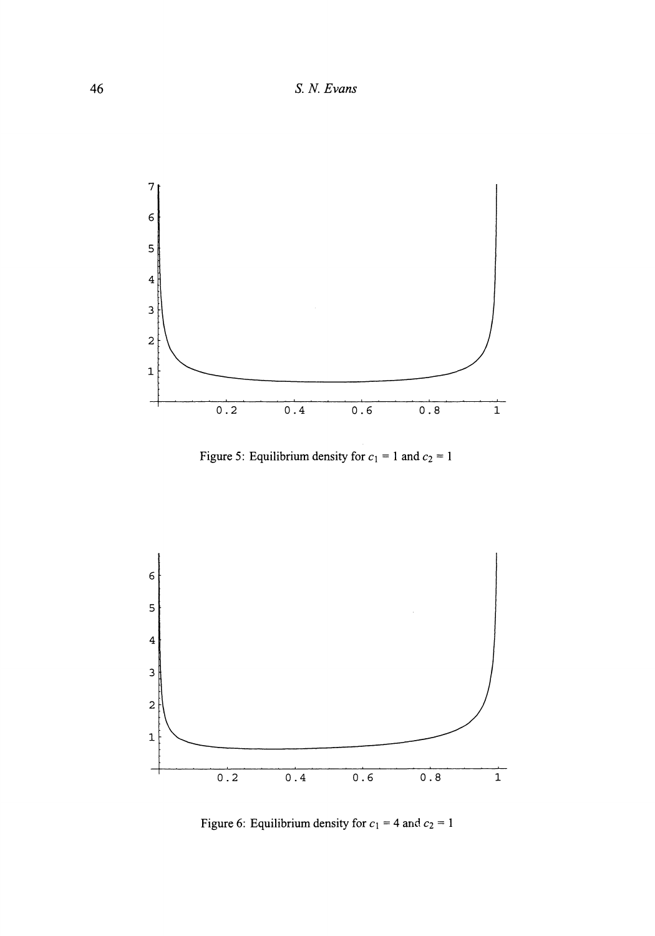

Figure 5: Equilibrium density for  $c_1 = 1$  and  $c_2 = 1$ 



Figure 6: Equilibrium density for  $c_1 = 4$  and  $c_2 = 1$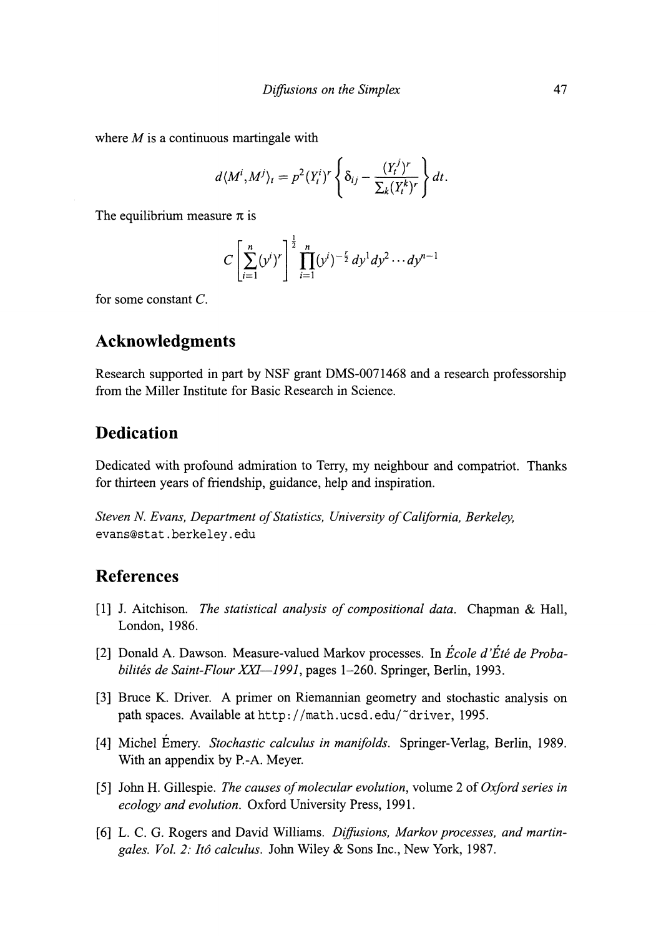where *M* is a continuous martingale with

$$
d\langle M^i, M^j \rangle_t = p^2 (Y_t^i)^r \left\{ \delta_{ij} - \frac{(Y_t^j)^r}{\sum_k (Y_t^k)^r} \right\} dt.
$$

The equilibrium measure  $\pi$  is

$$
C\left[\sum_{i=1}^n (y^i)^r\right]^{\frac{1}{2}} \prod_{i=1}^n (y^i)^{-\frac{r}{2}} dy^1 dy^2 \cdots dy^{n-1}
$$

for some constant C.

# **Acknowledgments**

Research supported in part by NSF grant DMS-0071468 and a research professorship from the Miller Institute for Basic Research in Science.

### **Dedication**

Dedicated with profound admiration to Terry, my neighbour and compatriot. Thanks for thirteen years of friendship, guidance, help and inspiration.

*Steven N. Evans, Department of Statistics, University of California, Berkeley,* evans@stat.berkeley.edu

#### **References**

- [1] J. Aitchison. *The statistical analysis of compositional data.* Chapman & Hall, London, 1986.
- [2] Donald A. Dawson. Measure-valued Markov processes. In *Ecole d'Etέ de Probabilites de Saint-Flour XXI—1991,* pages 1-260. Springer, Berlin, 1993.
- [3] Bruce K. Driver. A primer on Riemannian geometry and stochastic analysis on path spaces. Available at http://math.ucsd.edu/~driver, 1995.
- [4] Michel Emery. *Stochastic calculus in manifolds.* Springer-Verlag, Berlin, 1989. With an appendix by R-A. Meyer.
- [5] John H. Gillespie. *The causes of molecular evolution,* volume 2 of*Oxford series in ecology and evolution.* Oxford University Press, 1991.
- [6] L. C. G. Rogers and David Williams. *Diffusions, Markov processes, and martingales. Vol. 2: ltd calculus.* John Wiley & Sons Inc., New York, 1987.